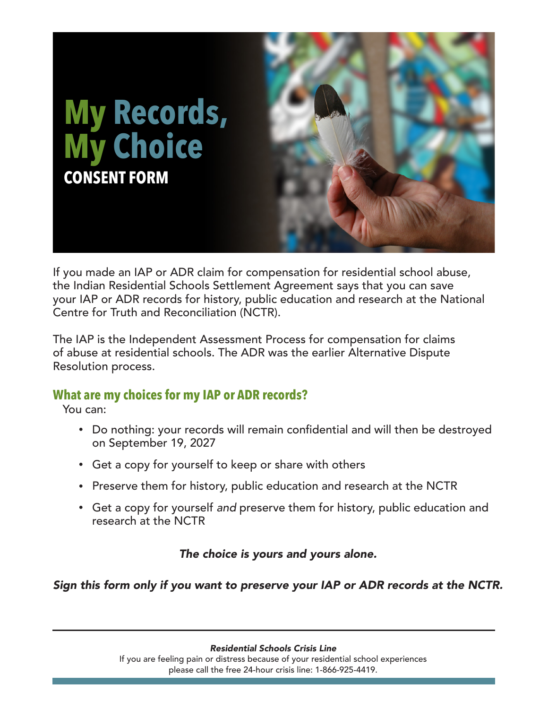

If you made an IAP or ADR claim for compensation for residential school abuse, the Indian Residential Schools Settlement Agreement says that you can save your IAP or ADR records for history, public education and research at the National Centre for Truth and Reconciliation (NCTR).

The IAP is the Independent Assessment Process for compensation for claims of abuse at residential schools. The ADR was the earlier Alternative Dispute Resolution process.

# **What are my choices for my IAP or ADR records?**

You can:

- Do nothing: your records will remain confidential and will then be destroyed on September 19, 2027
- Get a copy for yourself to keep or share with others
- Preserve them for history, public education and research at the NCTR
- Get a copy for yourself *and* preserve them for history, public education and research at the NCTR

*The choice is yours and yours alone.*

*Sign this form only if you want to preserve your IAP or ADR records at the NCTR.*

*Residential Schools Crisis Line*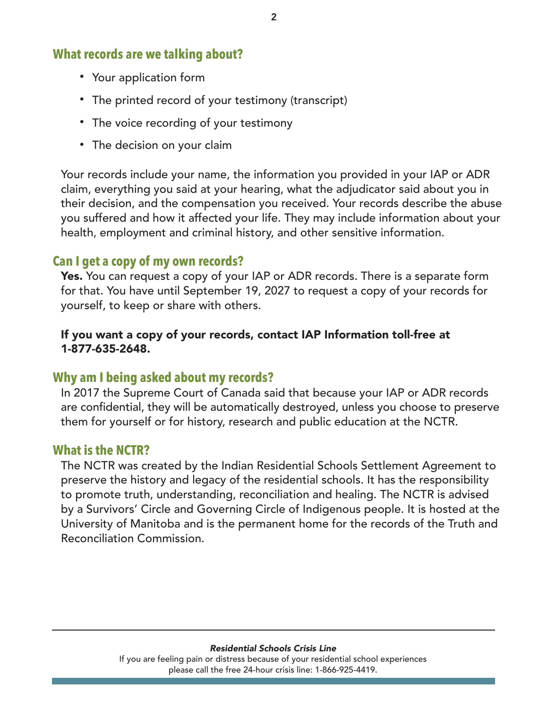# **What records are we talking about?**

- Your application form
- The printed record of your testimony (transcript)
- The voice recording of your testimony
- The decision on your claim

Your records include your name, the information you provided in your IAP or ADR claim, everything you said at your hearing, what the adjudicator said about you in their decision, and the compensation you received. Your records describe the abuse you suffered and how it affected your life. They may include information about your health, employment and criminal history, and other sensitive information.

# **Can I get a copy of my own records?**

Yes. You can request a copy of your IAP or ADR records. There is a separate form for that. You have until September 19, 2027 to request a copy of your records for yourself, to keep or share with others.

#### If you want a copy of your records, contact IAP Information toll-free at 1-877-635-2648.

# **Why am I being asked about my records?**

In 2017 the Supreme Court of Canada said that because your IAP or ADR records are confidential, they will be automatically destroyed, unless you choose to preserve them for yourself or for history, research and public education at the NCTR.

## **What is the NCTR?**

The NCTR was created by the Indian Residential Schools Settlement Agreement to preserve the history and legacy of the residential schools. It has the responsibility to promote truth, understanding, reconciliation and healing. The NCTR is advised by a Survivors' Circle and Governing Circle of Indigenous people. It is hosted at the University of Manitoba and is the permanent home for the records of the Truth and Reconciliation Commission.

#### *Residential Schools Crisis Line*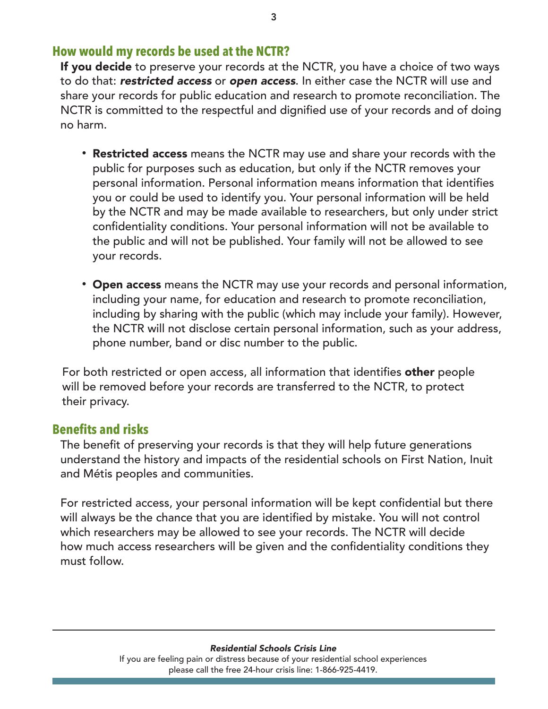# **How would my records be used at the NCTR?**

If you decide to preserve your records at the NCTR, you have a choice of two ways to do that: *restricted access* or *open access*. In either case the NCTR will use and share your records for public education and research to promote reconciliation. The NCTR is committed to the respectful and dignified use of your records and of doing no harm.

- Restricted access means the NCTR may use and share your records with the public for purposes such as education, but only if the NCTR removes your personal information. Personal information means information that identifies you or could be used to identify you. Your personal information will be held by the NCTR and may be made available to researchers, but only under strict confidentiality conditions. Your personal information will not be available to the public and will not be published. Your family will not be allowed to see your records.
- Open access means the NCTR may use your records and personal information, including your name, for education and research to promote reconciliation, including by sharing with the public (which may include your family). However, the NCTR will not disclose certain personal information, such as your address, phone number, band or disc number to the public.

For both restricted or open access, all information that identifies other people will be removed before your records are transferred to the NCTR, to protect their privacy.

## **Benefits and risks**

The benefit of preserving your records is that they will help future generations understand the history and impacts of the residential schools on First Nation, Inuit and Métis peoples and communities.

For restricted access, your personal information will be kept confidential but there will always be the chance that you are identified by mistake. You will not control which researchers may be allowed to see your records. The NCTR will decide how much access researchers will be given and the confidentiality conditions they must follow.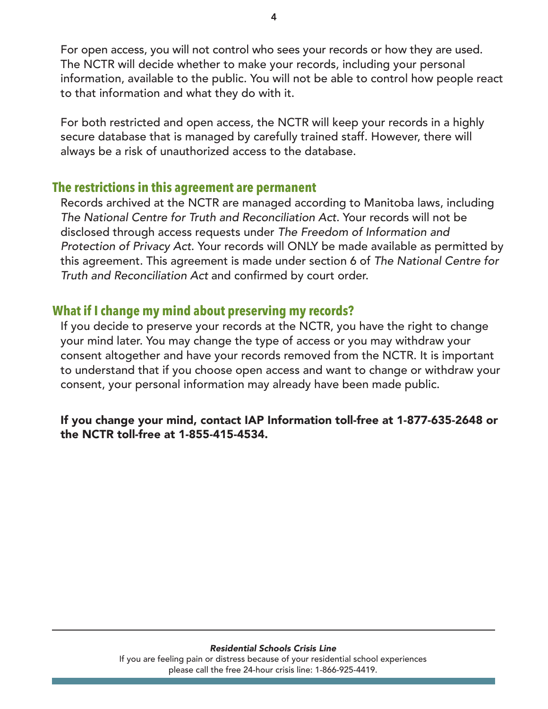For open access, you will not control who sees your records or how they are used. The NCTR will decide whether to make your records, including your personal information, available to the public. You will not be able to control how people react to that information and what they do with it.

For both restricted and open access, the NCTR will keep your records in a highly secure database that is managed by carefully trained staff. However, there will always be a risk of unauthorized access to the database.

## **The restrictions in this agreement are permanent**

Records archived at the NCTR are managed according to Manitoba laws, including *The National Centre for Truth and Reconciliation Act*. Your records will not be disclosed through access requests under *The Freedom of Information and Protection of Privacy Act*. Your records will ONLY be made available as permitted by this agreement. This agreement is made under section 6 of *The National Centre for Truth and Reconciliation Act* and confirmed by court order.

## **What if I change my mind about preserving my records?**

If you decide to preserve your records at the NCTR, you have the right to change your mind later. You may change the type of access or you may withdraw your consent altogether and have your records removed from the NCTR. It is important to understand that if you choose open access and want to change or withdraw your consent, your personal information may already have been made public.

#### If you change your mind, contact IAP Information toll-free at 1-877-635-2648 or the NCTR toll-free at 1-855-415-4534.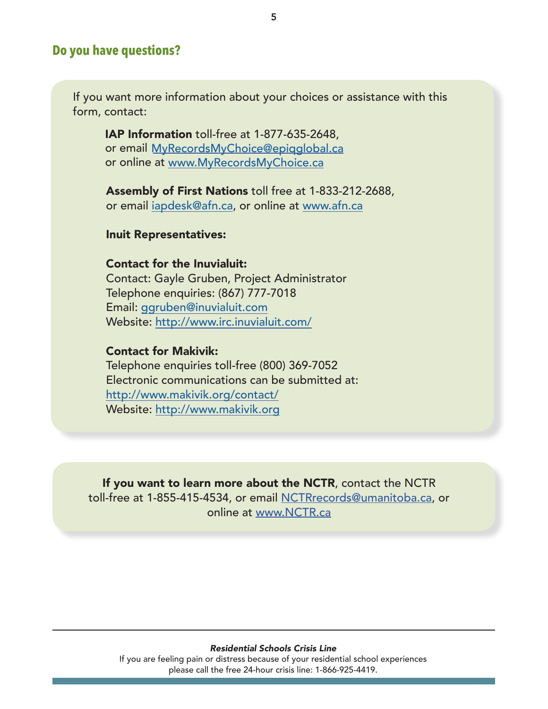## **Do you have questions?**

If you want more information about your choices or assistance with this form, contact:

IAP Information toll-free at 1-877-635-2648, or email [MyRecordsMyChoice@epiqglobal.ca](mailto:myrecordsmychoice@epiqglobal.ca) or online at [www.MyRecordsMyChoice.ca](http://www.MyRecordsMyChoice.ca)

Assembly of First Nations toll free at 1-833-212-2688, or email [iapdesk@afn.ca](mailto:iapdesk@afn.ca), or online at [www.afn.ca](http://www.afn.ca)

#### Inuit Representatives:

Contact for the Inuvialuit: Contact: Gayle Gruben, Project Administrator Telephone enquiries: (867) 777-7018 Email: [ggruben@inuvialuit.com](mailto:ggruben@inuvialuit.com) Website: <http://www.irc.inuvialuit.com/>

#### Contact for Makivik:

Telephone enquiries toll-free (800) 369-7052 Electronic communications can be submitted at: <http://www.makivik.org/contact/> Website: <http://www.makivik.org>

If you want to learn more about the NCTR, contact the NCTR toll-free at 1-855-415-4534, or email NCTRrecords@um[anitoba.ca,](mailto:nctrrecords@umanitoba.ca) or online at [www.NCTR.ca](http://www.NCTR.ca)

#### *Residential Schools Crisis Line*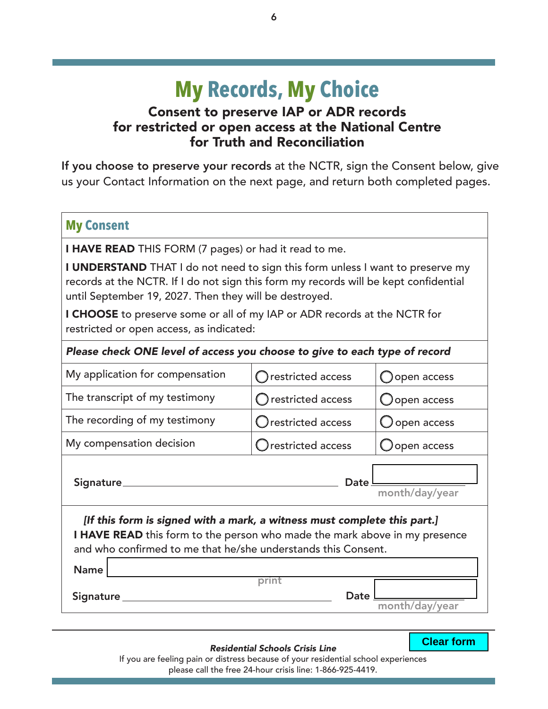# **My Records, My Choice**

# Consent to preserve IAP or ADR records for restricted or open access at the National Centre for Truth and Reconciliation

If you choose to preserve your records at the NCTR, sign the Consent below, give us your Contact Information on the next page, and return both completed pages.

#### **My Consent**

**I HAVE READ** THIS FORM (7 pages) or had it read to me.

I UNDERSTAND THAT I do not need to sign this form unless I want to preserve my records at the NCTR. If I do not sign this form my records will be kept confidential until September 19, 2027. Then they will be destroyed.

I CHOOSE to preserve some or all of my IAP or ADR records at the NCTR for restricted or open access, as indicated:

#### *Please check ONE level of access you choose to give to each type of record*

| My application for compensation                                                                                                                                                                                         | restricted access     | Oopen access           |  |  |  |
|-------------------------------------------------------------------------------------------------------------------------------------------------------------------------------------------------------------------------|-----------------------|------------------------|--|--|--|
| The transcript of my testimony                                                                                                                                                                                          | $O$ restricted access | $\bigcirc$ open access |  |  |  |
| The recording of my testimony                                                                                                                                                                                           | Orestricted access    | O open access          |  |  |  |
| My compensation decision                                                                                                                                                                                                | Orestricted access    | $\bigcup$ open access  |  |  |  |
| Signature_                                                                                                                                                                                                              | Date                  | month/day/year         |  |  |  |
| [If this form is signed with a mark, a witness must complete this part.]<br>I HAVE READ this form to the person who made the mark above in my presence<br>and who confirmed to me that he/she understands this Consent. |                       |                        |  |  |  |
|                                                                                                                                                                                                                         |                       |                        |  |  |  |

| Name      |       |                |
|-----------|-------|----------------|
|           | print |                |
| Signature |       | Date           |
|           |       | month/day/year |

#### *Residential Schools Crisis Line*

Clear form **Clear form**